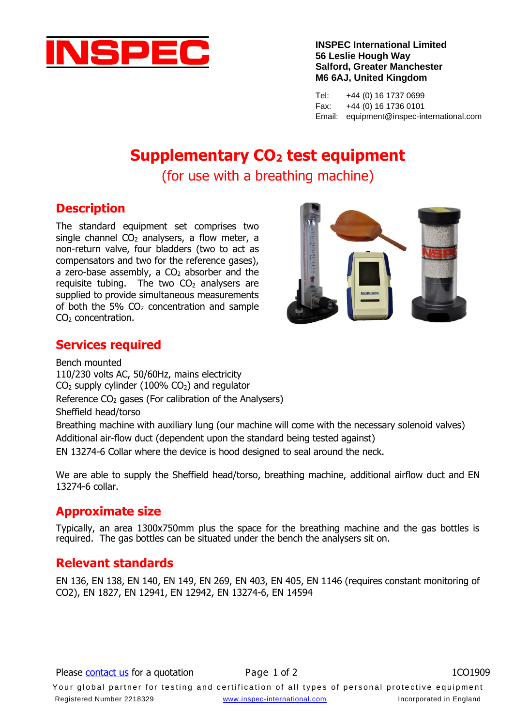

**INSPEC International Limited 56 Leslie Hough Way Salford, Greater Manchester M6 6AJ, United Kingdom**

Tel: +44 (0) 16 1737 0699 Fax: +44 (0) 16 1736 0101 Email: equipment@inspec-international.com

# **Supplementary CO<sup>2</sup> test equipment**

(for use with a breathing machine)

### **Description**

The standard equipment set comprises two single channel  $CO<sub>2</sub>$  analysers, a flow meter, a non-return valve, four bladders (two to act as compensators and two for the reference gases), a zero-base assembly, a  $CO<sub>2</sub>$  absorber and the requisite tubing. The two  $CO<sub>2</sub>$  analysers are supplied to provide simultaneous measurements of both the 5%  $CO<sub>2</sub>$  concentration and sample CO<sub>2</sub> concentration.



#### **Services required**

Bench mounted 110/230 volts AC, 50/60Hz, mains electricity  $CO<sub>2</sub>$  supply cylinder (100%  $CO<sub>2</sub>$ ) and regulator Reference  $CO<sub>2</sub>$  gases (For calibration of the Analysers) Sheffield head/torso Breathing machine with auxiliary lung (our machine will come with the necessary solenoid valves) Additional air-flow duct (dependent upon the standard being tested against) EN 13274-6 Collar where the device is hood designed to seal around the neck.

We are able to supply the Sheffield head/torso, breathing machine, additional airflow duct and EN 13274-6 collar.

### **Approximate size**

Typically, an area 1300x750mm plus the space for the breathing machine and the gas bottles is required. The gas bottles can be situated under the bench the analysers sit on.

### **Relevant standards**

EN 136, EN 138, EN 140, EN 149, EN 269, EN 403, EN 405, EN 1146 (requires constant monitoring of CO2), EN 1827, EN 12941, EN 12942, EN 13274-6, EN 14594

Your global partner for testing and certification of all types of personal protective equipment Registered Number 2218329 [www.inspec-international.com](http://www.inspec-international.com/) Incorporated in England